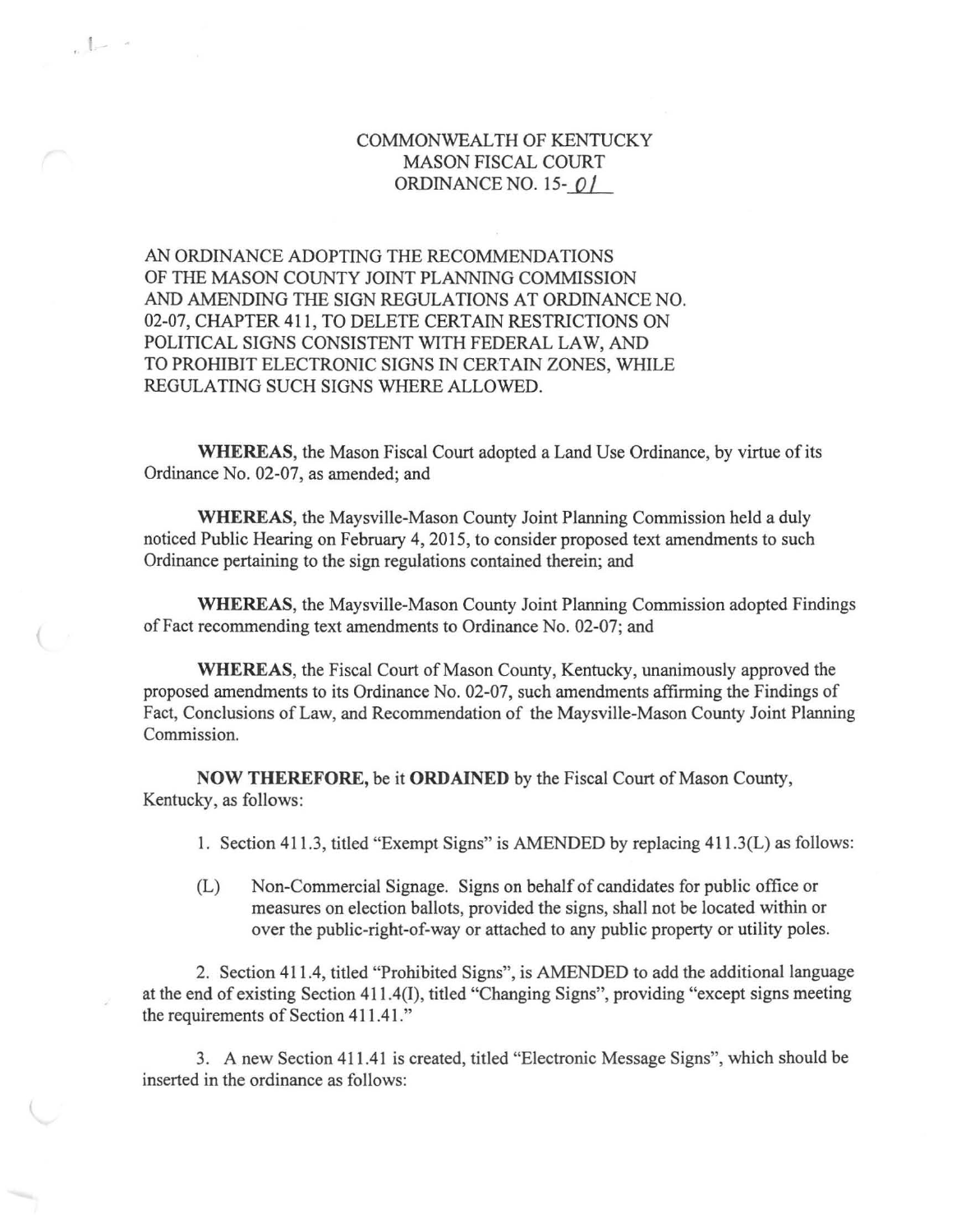## COMMONWEALTH OF KENTUCKY MASON FISCAL COURT ORDINANCE NO. 15- *Q* /

AN ORDINANCE ADOPTING THE RECOMMENDATIONS OF THE MASON COUNTY JOINT PLANNING COMMISSION AND AMENDING THE SIGN REGULATIONS AT ORDINANCE NO. 02-07, CHAPTER 411, TO DELETE CERTAIN RESTRICTIONS ON POLITICAL SIGNS CONSISTENT WITH FEDERAL LAW, AND TO PROHIBIT ELECTRONIC SIGNS IN CERTAIN ZONES, WHILE REGULATING SUCH SIGNS WHERE ALLOWED.

(

 $\mathbb{R}$ 

WHEREAS, the Mason Fiscal Court adopted a Land Use Ordinance, by virtue of its Ordinance No. 02-07, as amended; and

WHEREAS, the Maysville-Mason County Joint Planning Commission held a duly noticed Public Hearing on February 4, 2015, to consider proposed text amendments to such Ordinance pertaining to the sign regulations contained therein; and

WHEREAS, the Maysville-Mason County Joint Planning Commission adopted Findings of Fact recommending text amendments to Ordinance No. 02-07; and

WHEREAS, the Fiscal Court of Mason County, Kentucky, unanimously approved the proposed amendments to its Ordinance No. 02-07, such amendments affirming the Findings of Fact, Conclusions of Law, and Recommendation of the Maysville-Mason County Joint Planning Commission.

NOW THEREFORE, be it ORDAINED by the Fiscal Court of Mason County, Kentucky, as follows:

I. Section 411.3, titled "Exempt Signs" is AMENDED by replacing 411 .3(L) as follows:

(L) Non-Commercial Signage. Signs on behalf of candidates for public office or measures on election ballots, provided the signs, shall not be located within or over the public-right-of-way or attached to any public property or utility poles.

2. Section 411.4, titled "Prohibited Signs", is AMENDED to add the additional language at the end of existing Section 411.4(1), titled "Changing Signs", providing "except signs meeting the requirements of Section 411.41."

3. A new Section 411.41 is created, titled "Electronic Message Signs", which should be inserted in the ordinance as follows: